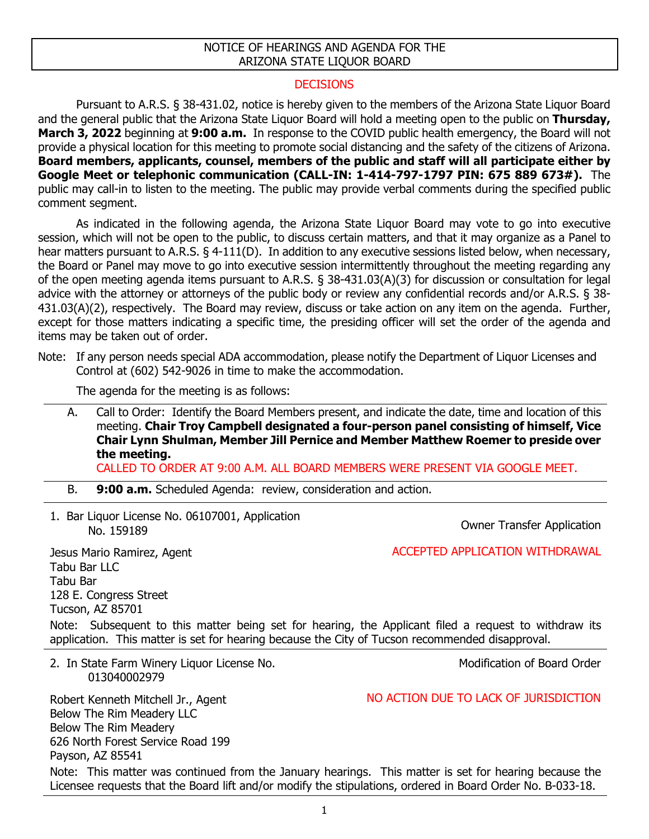## NOTICE OF HEARINGS AND AGENDA FOR THE ARIZONA STATE LIQUOR BOARD

## DECISIONS

Pursuant to A.R.S. § 38-431.02, notice is hereby given to the members of the Arizona State Liquor Board and the general public that the Arizona State Liquor Board will hold a meeting open to the public on **Thursday, March 3, 2022** beginning at **9:00 a.m.** In response to the COVID public health emergency, the Board will not provide a physical location for this meeting to promote social distancing and the safety of the citizens of Arizona. **Board members, applicants, counsel, members of the public and staff will all participate either by Google Meet or telephonic communication (CALL-IN: 1-414-797-1797 PIN: 675 889 673#).** The public may call-in to listen to the meeting. The public may provide verbal comments during the specified public comment segment.

As indicated in the following agenda, the Arizona State Liquor Board may vote to go into executive session, which will not be open to the public, to discuss certain matters, and that it may organize as a Panel to hear matters pursuant to A.R.S. § 4-111(D). In addition to any executive sessions listed below, when necessary, the Board or Panel may move to go into executive session intermittently throughout the meeting regarding any of the open meeting agenda items pursuant to A.R.S. § 38-431.03(A)(3) for discussion or consultation for legal advice with the attorney or attorneys of the public body or review any confidential records and/or A.R.S. § 38- 431.03(A)(2), respectively. The Board may review, discuss or take action on any item on the agenda. Further, except for those matters indicating a specific time, the presiding officer will set the order of the agenda and items may be taken out of order.

Note: If any person needs special ADA accommodation, please notify the Department of Liquor Licenses and Control at (602) 542-9026 in time to make the accommodation.

The agenda for the meeting is as follows:

A. Call to Order: Identify the Board Members present, and indicate the date, time and location of this meeting. **Chair Troy Campbell designated a four-person panel consisting of himself, Vice Chair Lynn Shulman, Member Jill Pernice and Member Matthew Roemer to preside over the meeting.**

CALLED TO ORDER AT 9:00 A.M. ALL BOARD MEMBERS WERE PRESENT VIA GOOGLE MEET.

- B. **9:00 a.m.** Scheduled Agenda: review, consideration and action.
- 1. Bar Liquor License No. 06107001, Application

Owner Transfer Application

Jesus Mario Ramirez, Agent Tabu Bar LLC Tabu Bar 128 E. Congress Street Tucson, AZ 85701 ACCEPTED APPLICATION WITHDRAWAL Note: Subsequent to this matter being set for hearing, the Applicant filed a request to withdraw its application. This matter is set for hearing because the City of Tucson recommended disapproval.

2. In State Farm Winery Liquor License No. 013040002979

Modification of Board Order

Robert Kenneth Mitchell Jr., Agent Below The Rim Meadery LLC Below The Rim Meadery 626 North Forest Service Road 199 Payson, AZ 85541 NO ACTION DUE TO LACK OF JURISDICTION Note: This matter was continued from the January hearings. This matter is set for hearing because the Licensee requests that the Board lift and/or modify the stipulations, ordered in Board Order No. B-033-18.